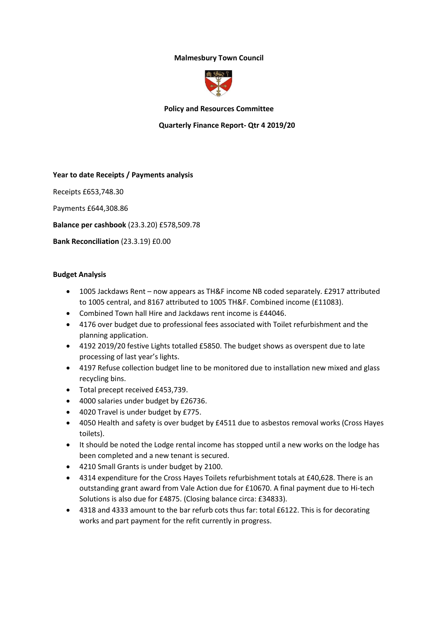# **Malmesbury Town Council**



### **Policy and Resources Committee**

### **Quarterly Finance Report- Qtr 4 2019/20**

#### **Year to date Receipts / Payments analysis**

Receipts £653,748.30

Payments £644,308.86

**Balance per cashbook** (23.3.20) £578,509.78

**Bank Reconciliation** (23.3.19) £0.00

#### **Budget Analysis**

- 1005 Jackdaws Rent now appears as TH&F income NB coded separately. £2917 attributed to 1005 central, and 8167 attributed to 1005 TH&F. Combined income (£11083).
- Combined Town hall Hire and Jackdaws rent income is £44046.
- 4176 over budget due to professional fees associated with Toilet refurbishment and the planning application.
- 4192 2019/20 festive Lights totalled £5850. The budget shows as overspent due to late processing of last year's lights.
- 4197 Refuse collection budget line to be monitored due to installation new mixed and glass recycling bins.
- Total precept received £453,739.
- 4000 salaries under budget by £26736.
- 4020 Travel is under budget by £775.
- 4050 Health and safety is over budget by £4511 due to asbestos removal works (Cross Hayes toilets).
- It should be noted the Lodge rental income has stopped until a new works on the lodge has been completed and a new tenant is secured.
- 4210 Small Grants is under budget by 2100.
- 4314 expenditure for the Cross Hayes Toilets refurbishment totals at £40,628. There is an outstanding grant award from Vale Action due for £10670. A final payment due to Hi-tech Solutions is also due for £4875. (Closing balance circa: £34833).
- 4318 and 4333 amount to the bar refurb cots thus far: total £6122. This is for decorating works and part payment for the refit currently in progress.